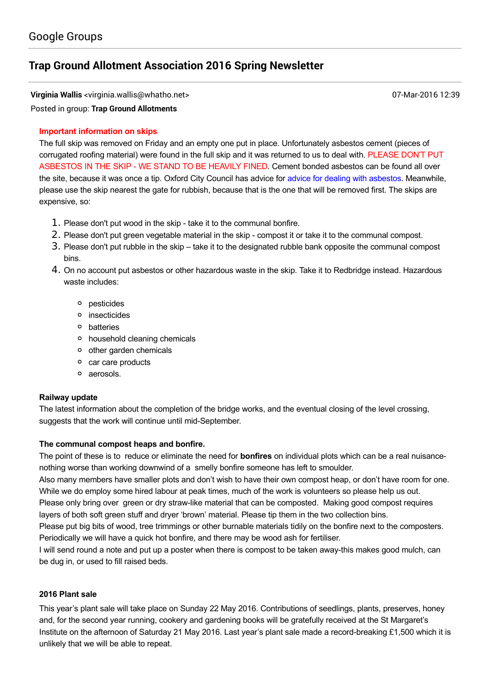# **Trap Ground Allotment [Association](https://groups.google.com/d/topic/trapgroundallotments/KhmKN4OiWyc) 2016 Spring Newsletter**

**Virginia Wallis** <virginia.wallis@whatho.net> 07-Mar-2016 12:39

Posted in group: **Trap Ground [Allotments](https://groups.google.com/d/forum/trapgroundallotments)**

# **Important information on skips**

The full skip was removed on Friday and an empty one put in place. Unfortunately asbestos cement (pieces of corrugated roofing material) were found in the full skip and it was returned to us to deal with. PLEASE DON'T PUT ASBESTOS IN THE SKIP - WE STAND TO BE HEAVILY FINED. Cement bonded asbestos can be found all over the site, because it was once a tip. Oxford City Council has advice for advice for dealing with asbestos. Meanwhile, please use the skip nearest the gate for rubbish, because that is the one that will be removed first. The skips are expensive, so:

- 1. Please don't put wood in the skip take it to the communal bonfire.
- 2. Please don't put green vegetable material in the skip compost it or take it to the communal compost.
- 3. Please don't put rubble in the skip take it to the designated rubble bank opposite the communal compost bins.
- 4. On no account put asbestos or other hazardous waste in the skip. Take it to Redbridge instead. Hazardous waste includes:
	- pesticides
	- o insecticides
	- batteries
	- household cleaning chemicals
	- o other garden chemicals
	- o car care products
	- aerosols.

#### **Railway update**

The latest information about the completion of the bridge works, and the eventual closing of the level crossing, suggests that the work will continue until mid-September.

#### **The communal compost heaps and bonfire.**

The point of these is to reduce or eliminate the need for **bonfires** on individual plots which can be a real nuisancenothing worse than working downwind of a smelly bonfire someone has left to smoulder.

Also many members have smaller plots and don't wish to have their own compost heap, or don't have room for one. While we do employ some hired labour at peak times, much of the work is volunteers so please help us out.

Please only bring over green or dry straw-like material that can be composted. Making good compost requires layers of both soft green stuff and dryer 'brown' material. Please tip them in the two collection bins.

Please put big bits of wood, tree trimmings or other burnable materials tidily on the bonfire next to the composters. Periodically we will have a quick hot bonfire, and there may be wood ash for fertiliser.

I will send round a note and put up a poster when there is compost to be taken awaythis makes good mulch, can be dug in, or used to fill raised beds.

#### **2016 Plant sale**

This year's plant sale will take place on Sunday 22 May 2016. Contributions of seedlings, plants, preserves, honey and, for the second year running, cookery and gardening books will be gratefully received at the St Margaret's Institute on the afternoon of Saturday 21 May 2016. Last year's plant sale made a record-breaking  $£1,500$  which it is unlikely that we will be able to repeat.